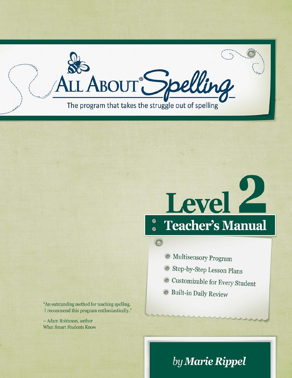

# Level **Teacher's Manual**  $\ddot{\bullet}$

O Multisensory Program

- Step-by-Step Lesson Plans
- Customizable for Every Student
- Suilt-in Daily Review

"An outstanding method for teaching spelling. I recommend this program enthusiastically."

- Adam Robinson, author **What Smart Students Know** 

# by Marie Rippel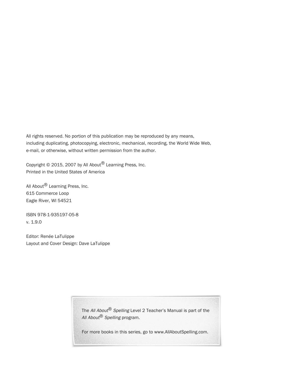All rights reserved. No portion of this publication may be reproduced by any means, including duplicating, photocopying, electronic, mechanical, recording, the World Wide Web, e-mail, or otherwise, without written permission from the author.

Copyright © 2015, 2007 by All About® Learning Press, Inc. Printed in the United States of America

All About® Learning Press, Inc. 615 Commerce Loop Eagle River, WI 54521

ISBN 978-1-935197-05-8 v. 1.9.0

Editor: Renée LaTulippe Layout and Cover Design: Dave LaTulippe

> The All About® Spelling Level 2 Teacher's Manual is part of the All About® Spelling program.

> For more books in this series, go to www.AllAboutSpelling.com.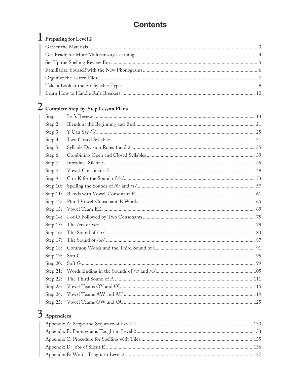## **Contents**

# 1 Preparing for Level 2

# 2 Complete Step-by-Step Lesson Plans

| Step 1:  |  |
|----------|--|
| Step 2:  |  |
| Step 3:  |  |
| Step 4:  |  |
| Step 5:  |  |
| Step 6:  |  |
| Step 7:  |  |
| Step 8:  |  |
| Step 9:  |  |
| Step 10: |  |
| Step 11: |  |
| Step 12: |  |
| Step 13: |  |
| Step 14: |  |
| Step 15: |  |
| Step 16: |  |
| Step 17: |  |
| Step 18: |  |
| Step 19: |  |
| Step 20: |  |
| Step 21: |  |
| Step 22: |  |
| Step 23: |  |
| Step 24: |  |
| Step 25: |  |

# $3$  Appendices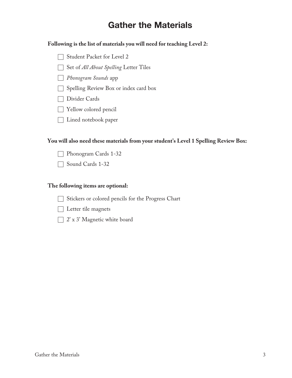# Gather the Materials

#### **Following is the list of materials you will need for teaching Level 2:**

- Student Packet for Level 2
- Set of *All About Spelling* Letter Tiles
- *Phonogram Sounds* app
- Spelling Review Box or index card box
- Divider Cards
- Yellow colored pencil
- Lined notebook paper

#### **You will also need these materials from your student's Level 1 Spelling Review Box:**

- Phonogram Cards 1-32
- Sound Cards 1-32

#### **The following items are optional:**

- Stickers or colored pencils for the Progress Chart
- Letter tile magnets
- $\Box$  2' x 3' Magnetic white board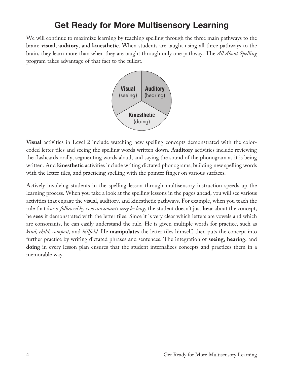# Get Ready for More Multisensory Learning

We will continue to maximize learning by teaching spelling through the three main pathways to the brain: **visual**, **auditory**, and **kinesthetic**. When students are taught using all three pathways to the brain, they learn more than when they are taught through only one pathway. The *All About Spelling* program takes advantage of that fact to the fullest.



**Visual** activities in Level 2 include watching new spelling concepts demonstrated with the colorcoded letter tiles and seeing the spelling words written down. **Auditory** activities include reviewing the flashcards orally, segmenting words aloud, and saying the sound of the phonogram as it is being written. And **kinesthetic** activities include writing dictated phonograms, building new spelling words with the letter tiles, and practicing spelling with the pointer finger on various surfaces.

Actively involving students in the spelling lesson through multisensory instruction speeds up the learning process. When you take a look at the spelling lessons in the pages ahead, you will see various activities that engage the visual, auditory, and kinesthetic pathways. For example, when you teach the rule that *i or o followed by two consonants may be long*, the student doesn't just **hear** about the concept, he **sees** it demonstrated with the letter tiles. Since it is very clear which letters are vowels and which are consonants, he can easily understand the rule. He is given multiple words for practice, such as *kind, child, compost,* and *billfold.* He **manipulates** the letter tiles himself, then puts the concept into further practice by writing dictated phrases and sentences. The integration of **seeing**, **hearing**, and doing in every lesson plan ensures that the student internalizes concepts and practices them in a memorable way.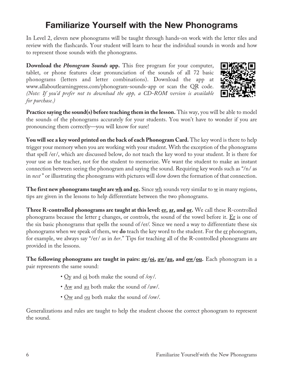# Familiarize Yourself with the New Phonograms

In Level 2, eleven new phonograms will be taught through hands-on work with the letter tiles and review with the flashcards. Your student will learn to hear the individual sounds in words and how to represent those sounds with the phonograms.

**Download the** *Phonogram Sounds* **app.** This free program for your computer, tablet, or phone features clear pronunciation of the sounds of all 72 basic phonograms (letters and letter combinations). Download the app at www.allaboutlearningpress.com/phonogram-sounds-app or scan the QR code. *(Note: If you'd prefer not to download the app, a CD-ROM version is available for purchase.)*



**Practice saying the sound(s) before teaching them in the lesson.** This way, you will be able to model the sounds of the phonograms accurately for your students. You won't have to wonder if you are pronouncing them correctly—you will know for sure!

**You will see a key word printed on the back of each Phonogram Card.** The key word is there to help trigger your memory when you are working with your student. With the exception of the phonograms that spell /er/, which are discussed below, do not teach the key word to your student. It is there for your use as the teacher, not for the student to memorize. We want the student to make an instant connection between seeing the phonogram and saying the sound. Requiring key words such as "/n/ as in *nest* " or illustrating the phonograms with pictures will slow down the formation of that connection.

**The first new phonograms taught are**  $\underline{wh}$  **and**  $\underline{ee}$ **.** Since  $\underline{wh}$  sounds very similar to  $\underline{w}$  in many regions, tips are given in the lessons to help differentiate between the two phonograms.

**Three R-controlled phonograms are taught at this level: er, ar, and or.** We call these R-controlled phonograms because the letter  $\underline{r}$  changes, or controls, the sound of the vowel before it.  $\underline{Er}$  is one of the six basic phonograms that spells the sound of /er/. Since we need a way to differentiate these six phonograms when we speak of them, we **do** teach the key word to the student. For the er phonogram, for example, we always say "/er/ as in *her*." Tips for teaching all of the R-controlled phonograms are provided in the lessons.

**The following phonograms are taught in pairs: <u>oy/oi</u>, <u>aw/au</u>, and <u>ow/ou</u>. Each phonogram in a** pair represents the same sound:

- $Qy$  and  $q\text{d}$  both make the sound of /oy/.
- <u>Aw</u> and <u>au</u> both make the sound of /aw/.
- Ow and ou both make the sound of /ow/.

Generalizations and rules are taught to help the student choose the correct phonogram to represent the sound.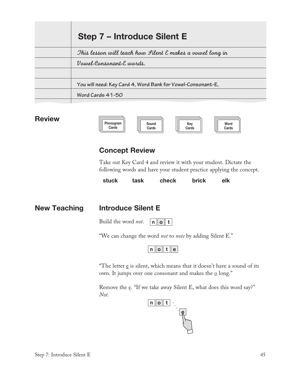| Step 7 – Introduce Silent E                                 |  |
|-------------------------------------------------------------|--|
| This lesson will teach how Lilent E makes a vowel long in   |  |
| Vowel-Consonant-E words.                                    |  |
|                                                             |  |
| You will need: Key Card 4, Word Bank for Vowel-Consonant-E, |  |
| Word Cards 41-50                                            |  |
|                                                             |  |

#### **Review**

| Phonogram | Sound | Kev   | Word  |
|-----------|-------|-------|-------|
| Cards     | Cards | Cards | Cards |

#### Concept Review

Take out Key Card 4 and review it with your student. Dictate the following words and have your student practice applying the concept.

stuck task check brick elk

New Teaching Introduce Silent E

 $\overline{\phantom{a}}$ 

Build the word *not*.  $n$  o t

"We can change the word *not* to *note* by adding Silent E."

 $n$  o t e

"The letter  $\underline{e}$  is silent, which means that it doesn't have a sound of its own. It jumps over one consonant and makes the  $\Omega$  long."

Remove the e. "If we take away Silent E, what does this word say?" *Not.*

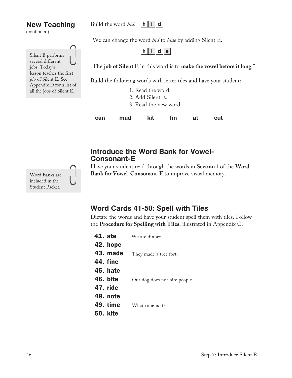#### Build the word *hid*.  $\|h\|$  i  $\|d\|$

New Teaching (continued)



"We can change the word *hid* to *hide* by adding Silent E."

h  $\|$  i  $\|$  d  $\|$  e  $\|$ 

"The **job of Silent E** in this word is to **make the vowel before it long**."

Build the following words with letter tiles and have your student:

- 1. Read the word.
- 2. Add Silent E.
- 3. Read the new word.

can mad kit fin at cut

#### Introduce the Word Bank for Vowel-Consonant-E

Have your student read through the words in **Section1** of the **Word Bank for Vowel-Consonant-E** to improve visual memory.

### Word Cards 41-50: Spell with Tiles

Dictate the words and have your student spell them with tiles. Follow the **Procedure for Spelling with Tiles**, illustrated in Appendix C.

- 41. ate We ate dinner.
- 42. hope
- 43. made They made a tree fort.
- 44. fine
- 45. hate
- 46. bite Our dog does not bite people.
- 47. ride
- 48. note
- 49. time What time is it?
- 50. kite

Word Banks are included in the Student Packet.

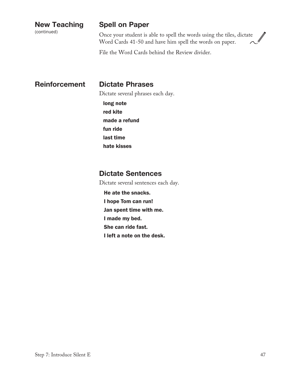(continued)

#### Spell on Paper

Once your student is able to spell the words using the tiles, dictate Word Cards 41-50 and have him spell the words on paper.

File the Word Cards behind the Review divider.

Reinforcement Dictate Phrases

Dictate several phrases each day.

long note red kite made a refund fun ride last time hate kisses

#### Dictate Sentences

Dictate several sentences each day.

He ate the snacks.

I hope Tom can run!

Jan spent time with me.

I made my bed.

She can ride fast.

I left a note on the desk.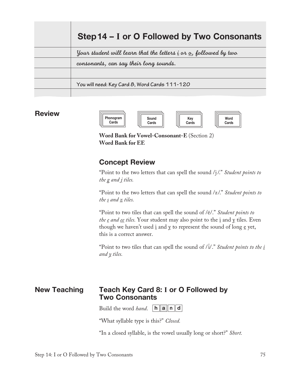| Step 14 – I or O Followed by Two Consonants                                                   |  |  |
|-----------------------------------------------------------------------------------------------|--|--|
| Your student will learn that the letters $\underline{i}$ or $\underline{o}$ , followed by two |  |  |
| consonants, can say their long sounds.                                                        |  |  |
|                                                                                               |  |  |
| You will need: Key Card 8, Word Cards 111-120                                                 |  |  |
|                                                                                               |  |  |

#### Review



Word Cards

**Word Bank for Vowel-Consonant-E** (Section 2) **Word Bank for EE**

#### Concept Review

"Point to the two letters that can spell the sound /j/." *Student points to the g and j tiles.*

"Point to the two letters that can spell the sound /z/." *Student points to the s and z tiles.*

"Point to two tiles that can spell the sound of /ē/." *Student points to the e and ee tiles.* Your student may also point to the i and y tiles. Even though we haven't used  $\underline{i}$  and  $\underline{y}$  to represent the sound of long  $\underline{e}$  yet, this is a correct answer.

"Point to two tiles that can spell the sound of / $\bar{i}$ /." *Student points to the <u>i</u> and y tiles.*

#### New Teaching Teach Key Card 8: **I** or O Followed by Two Consonants

Build the word *hand*.  $\boxed{\mathbf{h} \parallel \mathbf{a} \parallel \mathbf{n} \parallel \mathbf{d}}$ 

"What syllable type is this?" *Closed.*

"In a closed syllable, is the vowel usually long or short?" *Short.*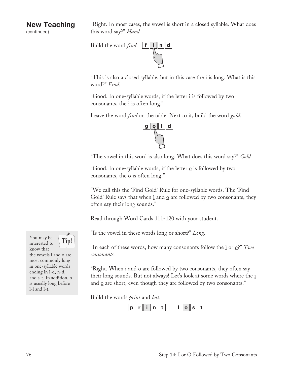(continued)

"Right. In most cases, the vowel is short in a closed syllable. What does this word say?" *Hand.*



"This is also a closed syllable, but in this case the  $i$  is long. What is this word?" *Find.*

"Good. In one-syllable words, if the letter i is followed by two consonants, the  $i$  is often long."

Leave the word *find* on the table. Next to it, build the word *gold*.



"The vowel in this word is also long. What does this word say?" *Gold.*

"Good. In one-syllable words, if the letter  $\Omega$  is followed by two consonants, the  $\Omega$  is often long."

"We call this the 'Find Gold' Rule for one-syllable words. The 'Find Gold' Rule says that when  $\underline{i}$  and  $\underline{o}$  are followed by two consonants, they often say their long sounds."

Read through Word Cards 111-120 with your student.

"Is the vowel in these words long or short?" *Long.*

"In each of these words, how many consonants follow the <u>i</u> or <u>o</u>?" Two *consonants.*

"Right. When  $\underline{i}$  and  $\underline{o}$  are followed by two consonants, they often say their long sounds. But not always! Let's look at some words where the i and  $\Omega$  are short, even though they are followed by two consonants."

Build the words *print* and *lost*.





the vowels  $\underline{i}$  and  $\underline{o}$  are most commonly long in one-syllable words ending in  $l$ - $d$ ,  $n$ - $d$ , and  $\underline{s}$ -t. In addition,  $\underline{o}$ is usually long before l-l and l-t.

ூ Tip!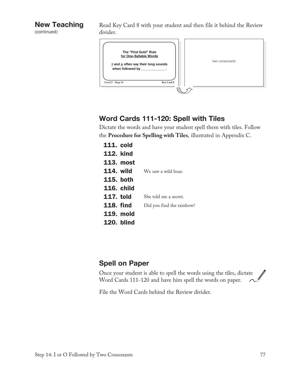(continued)

Read Key Card 8 with your student and then file it behind the Review divider.



#### Word Cards 111-120: Spell with Tiles

Dictate the words and have your student spell them with tiles. Follow the **Procedure for Spelling with Tiles**, illustrated in Appendix C.

| <b>111. cold</b>  |                           |
|-------------------|---------------------------|
| <b>112. kind</b>  |                           |
| <b>113. most</b>  |                           |
| <b>114. wild</b>  | We saw a wild boar.       |
| <b>115. both</b>  |                           |
| <b>116. child</b> |                           |
| <b>117. told</b>  | She told me a secret.     |
| <b>118. find</b>  | Did you find the rainbow? |
| <b>119. mold</b>  |                           |
| <b>120. blind</b> |                           |

#### Spell on Paper

Once your student is able to spell the words using the tiles, dictate Word Cards 111-120 and have him spell the words on paper.

File the Word Cards behind the Review divider.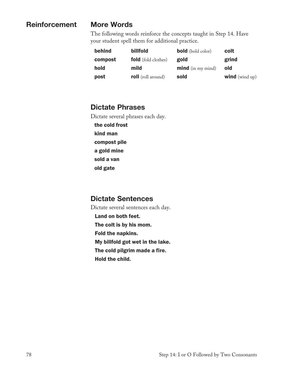#### Reinforcement

#### More Words

The following words reinforce the concepts taught in Step 14. Have your student spell them for additional practice.

| behind  | billfold                   | <b>bold</b> (bold color) | colt                  |
|---------|----------------------------|--------------------------|-----------------------|
| compost | <b>fold</b> (fold clothes) | gold                     | grind                 |
| hold    | mild                       | <b>mind</b> (in my mind) | old                   |
| post    | <b>roll</b> (roll around)  | sold                     | <b>wind</b> (wind up) |

#### Dictate Phrases

Dictate several phrases each day.

the cold frost kind man compost pile a gold mine sold a van old gate

#### Dictate Sentences

Dictate several sentences each day. Land on both feet. The colt is by his mom. Fold the napkins. My billfold got wet in the lake. The cold pilgrim made a fire. Hold the child.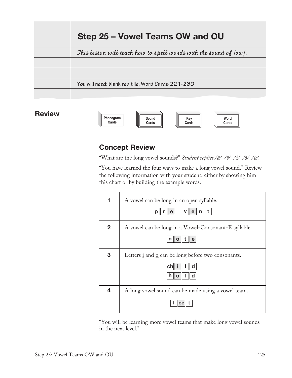| Step 25 – Vowel Teams OW and OU                                      |  |  |
|----------------------------------------------------------------------|--|--|
| This lesson will teach how to spell words with the sound of $ ow $ . |  |  |
|                                                                      |  |  |
|                                                                      |  |  |
| You will need: blank red tile, Word Cards 221-230                    |  |  |
|                                                                      |  |  |

#### **Review**



### Concept Review

"What are the long vowel sounds?" *Student replies /ā/-/ē/-/ī/-/ō/-/ū/*.

"You have learned the four ways to make a long vowel sound." Review the following information with your student, either by showing him this chart or by building the example words.

|                         | A vowel can be long in an open syllable.<br>v∥e∥n∥t<br>е<br>р                  |
|-------------------------|--------------------------------------------------------------------------------|
| $\mathbf{2}$            | A vowel can be long in a Vowel-Consonant-E syllable.                           |
|                         |                                                                                |
| 3                       | Letters $\underline{i}$ and $\underline{o}$ can be long before two consonants. |
|                         | d                                                                              |
|                         | d                                                                              |
| $\overline{\mathbf{4}}$ | A long vowel sound can be made using a vowel team.                             |
|                         |                                                                                |

"You will be learning more vowel teams that make long vowel sounds in the next level."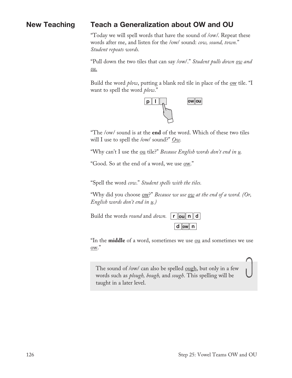#### New Teaching Teach a Generalization about OW and OU

"Today we will spell words that have the sound of /ow/. Repeat these words after me, and listen for the /ow/ sound: *cow, sound, town.*" *Student repeats words.*

"Pull down the two tiles that can say /ow/." *Student pulls down ow and ou.*

Build the word *plow*, putting a blank red tile in place of the <u>ow</u> tile. "I want to spell the word *plow*."



"The /ow/ sound is at the **end** of the word. Which of these two tiles will I use to spell the /ow/ sound?" *Ow.*

"Why can't I use the ou tile?" *Because English words don't end in u.* 

"Good. So at the end of a word, we use <u>ow</u>."

"Spell the word *cow*." *Student spells with the tiles.*

"Why did you choose <u>ow</u>?" *Because we use ow at the end of a word.* (Or, *English words don't end in u.)*

Build the words *round* and *down*. **r** ou n d



"In the **middle** of a word, sometimes we use ou and sometimes we use ow."

The sound of /ow/ can also be spelled ough, but only in a few words such as *plough, bough,* and *sough*. This spelling will be taught in a later level.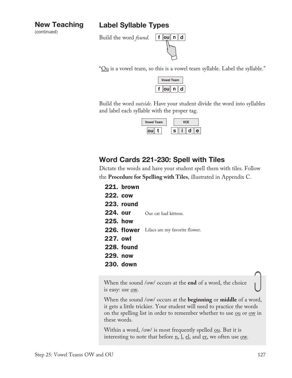#### Label Syllable Types

(continued)

### Build the word *found*.



" $\Omega$ u is a vowel team, so this is a vowel team syllable. Label the syllable."

| <b>Vowel Team</b> |  |  |
|-------------------|--|--|
|                   |  |  |

Build the word *outside*. Have your student divide the word into syllables and label each syllable with the proper tag.

| <b>Vowel Team</b> |   |
|-------------------|---|
|                   | e |

### Word Cards 221-230: Spell with Tiles

Dictate the words and have your student spell them with tiles. Follow the **Procedure for Spelling with Tiles**, illustrated in Appendix C.

221. brown 222. cow 223. round 224. our 225. how 226. flower Lilacs are my favorite flower. 227. owl 228. found 229. now 230. down Our cat had kittens.

When the sound /ow/ occurs at the **end** of a word, the choice is easy: use <u>ow</u>.

When the sound /ow/ occurs at the **beginning** or **middle** of a word, it gets a little trickier. Your student will need to practice the words on the spelling list in order to remember whether to use ou or ow in these words.

Within a word, /ow/ is most frequently spelled  $ou$ . But it is</u> interesting to note that before  $\underline{n}$ ,  $\underline{l}$ ,  $\underline{el}$ , and  $\underline{er}$ , we often use <u>ow</u>.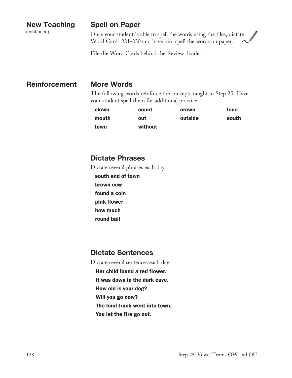(continued)

#### Spell on Paper

Once your student is able to spell the words using the tiles, dictate Word Cards 221-230 and have him spell the words on paper.

File the Word Cards behind the Review divider.

#### Reinforcement More Words

The following words reinforce the concepts taught in Step 25. Have your student spell them for additional practice.

| clown | count   | crown   | loud  |
|-------|---------|---------|-------|
| mouth | out     | outside | south |
| town  | without |         |       |

#### Dictate Phrases

Dictate several phrases each day.

south end of town brown cow found a coin pink flower how much round ball

#### Dictate Sentences

Dictate several sentences each day.

- Her child found a red flower.
- It was down in the dark cave.
- How old is your dog?
- Will you go now?
- The loud truck went into town.
- You let the fire go out.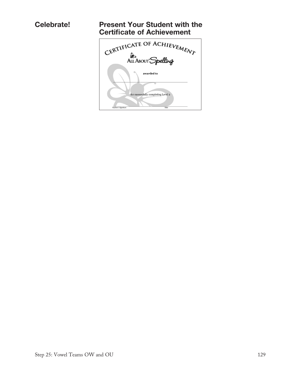#### Celebrate! Present Your Student with the Certificate of Achievement